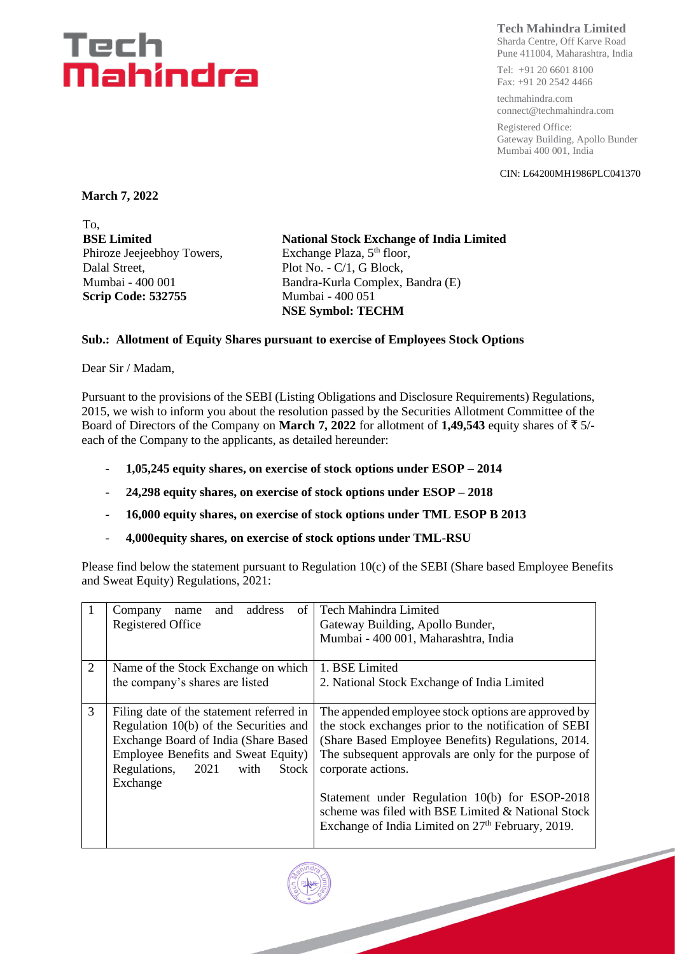### Tech Mahindra

#### **Tech Mahindra Limited**

Sharda Centre, Off Karve Road Pune 411004, Maharashtra, India

Tel: +91 20 6601 8100 Fax: +91 20 2542 4466

techmahindra.com connect@techmahindra.com

Registered Office: Gateway Building, Apollo Bunder Mumbai 400 001, India

CIN: L64200MH1986PLC041370

**March 7, 2022**

To, **BSE Limited** Phiroze Jeejeebhoy Towers, Dalal Street, Mumbai - 400 001 **Scrip Code: 532755**

**National Stock Exchange of India Limited** Exchange Plaza, 5<sup>th</sup> floor, Plot No. - C/1, G Block, Bandra-Kurla Complex, Bandra (E) Mumbai - 400 051 **NSE Symbol: TECHM**

#### **Sub.: Allotment of Equity Shares pursuant to exercise of Employees Stock Options**

Dear Sir / Madam,

Pursuant to the provisions of the SEBI (Listing Obligations and Disclosure Requirements) Regulations, 2015, we wish to inform you about the resolution passed by the Securities Allotment Committee of the Board of Directors of the Company on **March 7, 2022** for allotment of **1,49,543** equity shares of  $\bar{\tau}$  5/each of the Company to the applicants, as detailed hereunder:

- **1,05,245 equity shares, on exercise of stock options under ESOP – 2014**
- **24,298 equity shares, on exercise of stock options under ESOP – 2018**
- **16,000 equity shares, on exercise of stock options under TML ESOP B 2013**
- **4,000equity shares, on exercise of stock options under TML-RSU**

Please find below the statement pursuant to Regulation 10(c) of the SEBI (Share based Employee Benefits and Sweat Equity) Regulations, 2021:

|                                 | address<br>Company<br>of<br>and<br>name                                                                                                                                                                                | Tech Mahindra Limited                                                                                                                                                                                                                                                                                                                                                                                                     |  |  |  |  |  |
|---------------------------------|------------------------------------------------------------------------------------------------------------------------------------------------------------------------------------------------------------------------|---------------------------------------------------------------------------------------------------------------------------------------------------------------------------------------------------------------------------------------------------------------------------------------------------------------------------------------------------------------------------------------------------------------------------|--|--|--|--|--|
|                                 | <b>Registered Office</b>                                                                                                                                                                                               | Gateway Building, Apollo Bunder,                                                                                                                                                                                                                                                                                                                                                                                          |  |  |  |  |  |
|                                 |                                                                                                                                                                                                                        | Mumbai - 400 001, Maharashtra, India                                                                                                                                                                                                                                                                                                                                                                                      |  |  |  |  |  |
|                                 |                                                                                                                                                                                                                        |                                                                                                                                                                                                                                                                                                                                                                                                                           |  |  |  |  |  |
| 2                               | Name of the Stock Exchange on which                                                                                                                                                                                    | 1. BSE Limited                                                                                                                                                                                                                                                                                                                                                                                                            |  |  |  |  |  |
| the company's shares are listed |                                                                                                                                                                                                                        | 2. National Stock Exchange of India Limited                                                                                                                                                                                                                                                                                                                                                                               |  |  |  |  |  |
| 3                               | Filing date of the statement referred in<br>Regulation 10(b) of the Securities and<br>Exchange Board of India (Share Based<br>Employee Benefits and Sweat Equity)<br>Regulations,<br>2021<br>with<br>Stock<br>Exchange | The appended employee stock options are approved by<br>the stock exchanges prior to the notification of SEBI<br>(Share Based Employee Benefits) Regulations, 2014.<br>The subsequent approvals are only for the purpose of<br>corporate actions.<br>Statement under Regulation 10(b) for ESOP-2018<br>scheme was filed with BSE Limited & National Stock<br>Exchange of India Limited on 27 <sup>th</sup> February, 2019. |  |  |  |  |  |
|                                 |                                                                                                                                                                                                                        |                                                                                                                                                                                                                                                                                                                                                                                                                           |  |  |  |  |  |
|                                 |                                                                                                                                                                                                                        |                                                                                                                                                                                                                                                                                                                                                                                                                           |  |  |  |  |  |

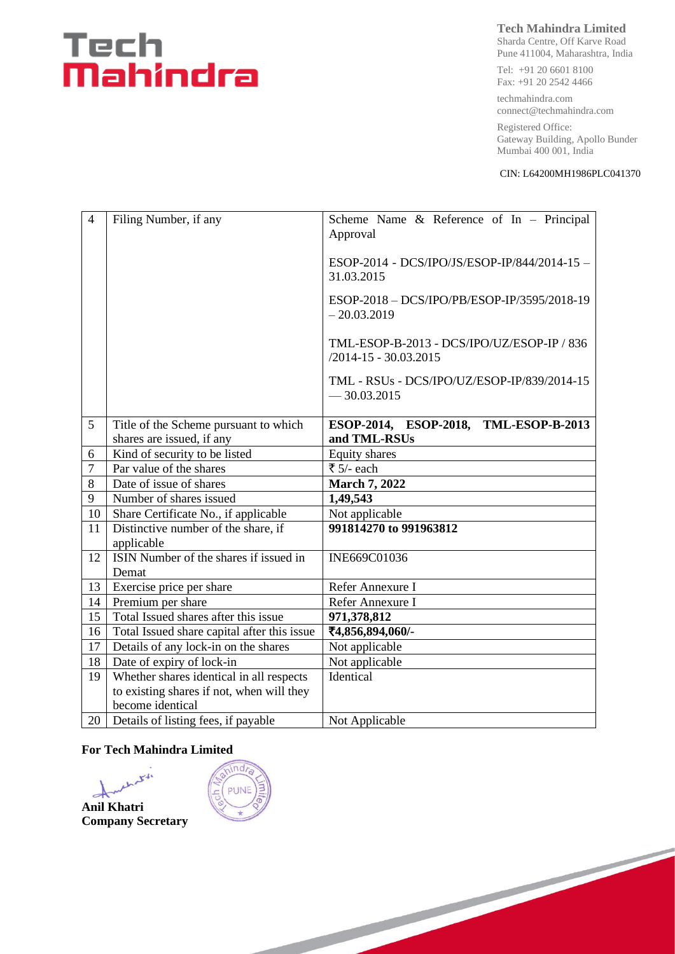## Tech<br>**Mahindra**

#### **Tech Mahindra Limited**

Sharda Centre, Off Karve Road Pune 411004, Maharashtra, India

Tel: +91 20 6601 8100 Fax: +91 20 2542 4466

techmahindra.com connect@techmahindra.com

Registered Office: Gateway Building, Apollo Bunder Mumbai 400 001, India

CIN: L64200MH1986PLC041370

| $\overline{4}$ | Filing Number, if any                       | Scheme Name & Reference of In - Principal<br>Approval                   |  |  |  |
|----------------|---------------------------------------------|-------------------------------------------------------------------------|--|--|--|
|                |                                             | ESOP-2014 - DCS/IPO/JS/ESOP-IP/844/2014-15 -<br>31.03.2015              |  |  |  |
|                |                                             | ESOP-2018 - DCS/IPO/PB/ESOP-IP/3595/2018-19<br>$-20.03.2019$            |  |  |  |
|                |                                             | TML-ESOP-B-2013 - DCS/IPO/UZ/ESOP-IP / 836<br>$/2014 - 15 - 30.03.2015$ |  |  |  |
|                |                                             | TML - RSUs - DCS/IPO/UZ/ESOP-IP/839/2014-15<br>$-30.03.2015$            |  |  |  |
| 5              | Title of the Scheme pursuant to which       | ESOP-2014, ESOP-2018, TML-ESOP-B-2013                                   |  |  |  |
|                | shares are issued, if any                   | and TML-RSUs                                                            |  |  |  |
| 6              | Kind of security to be listed               | Equity shares                                                           |  |  |  |
| $\overline{7}$ | Par value of the shares                     | ₹ $5/-$ each                                                            |  |  |  |
| 8              | Date of issue of shares                     | <b>March 7, 2022</b>                                                    |  |  |  |
| 9              | Number of shares issued                     | 1,49,543                                                                |  |  |  |
| 10             | Share Certificate No., if applicable        | Not applicable                                                          |  |  |  |
| 11             | Distinctive number of the share, if         | 991814270 to 991963812                                                  |  |  |  |
|                | applicable                                  |                                                                         |  |  |  |
| 12             | ISIN Number of the shares if issued in      | INE669C01036                                                            |  |  |  |
|                | Demat                                       |                                                                         |  |  |  |
| 13             | Exercise price per share                    | Refer Annexure I                                                        |  |  |  |
| 14             | Premium per share                           | Refer Annexure I                                                        |  |  |  |
| 15             | Total Issued shares after this issue        | 971,378,812                                                             |  |  |  |
| 16             | Total Issued share capital after this issue | ₹4,856,894,060/-                                                        |  |  |  |
| 17             | Details of any lock-in on the shares        | Not applicable                                                          |  |  |  |
| 18             | Date of expiry of lock-in                   | Not applicable                                                          |  |  |  |
| 19             | Whether shares identical in all respects    | Identical                                                               |  |  |  |
|                | to existing shares if not, when will they   |                                                                         |  |  |  |
|                | become identical                            |                                                                         |  |  |  |
| 20             | Details of listing fees, if payable         | Not Applicable                                                          |  |  |  |

#### **For Tech Mahindra Limited**